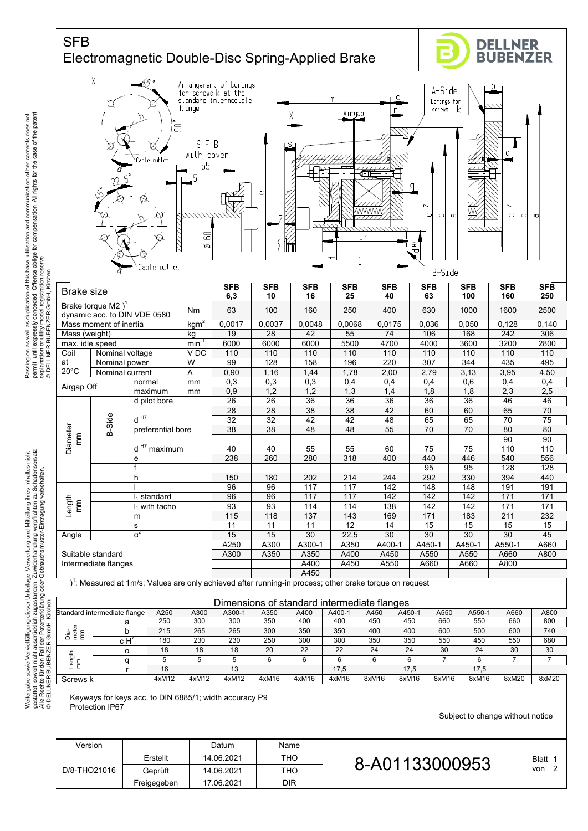

Keyways for keys acc. to DIN 6885/1; width accuracy P9 Protection IP67

Weitergabe sowie Vervielfältigung dieser Unterlage, Verwertung und Mitteilung ihres Inhaltes nicht gestattet, soweit nicht ausdrücklich zugestanden. Zuwiderhandlung verpflichten zu Schadensersatz.

Passing on as well as duplication of this base, utilisation and communication of her contents does not permit, until expressly conceded. Offence oblige for compensation. All rights for the case of the patent

and communication of her contents does not<br>pensation. All rights for the case of the patent

Subject to change without notice

| Version      |             | Datum      | Name |                |                            |
|--------------|-------------|------------|------|----------------|----------------------------|
| D/8-THO21016 | Erstellt    | 14.06.2021 | THO  | 8-A01133000953 | Blatt<br>$\epsilon$<br>von |
|              | Geprüft     | 14.06.2021 | THO  |                |                            |
|              | Freigegeben | 17.06.2021 | DIR  |                |                            |
|              |             |            |      |                |                            |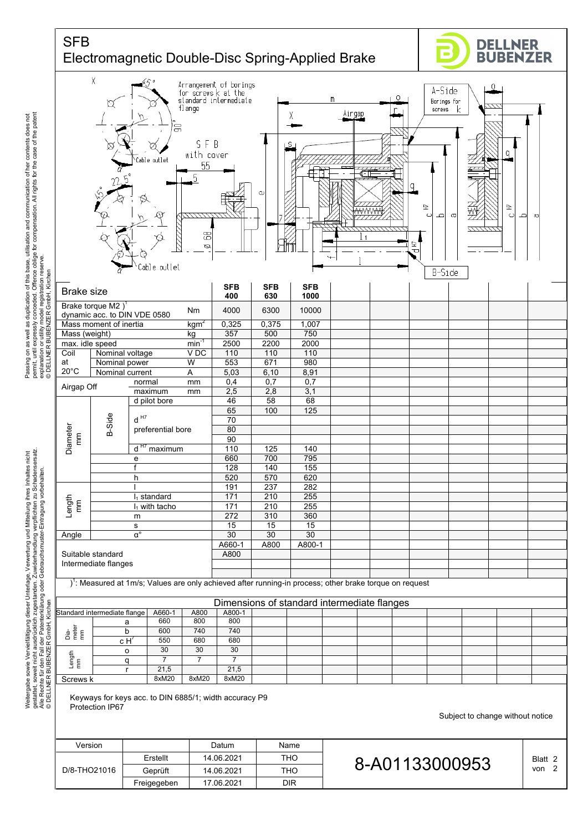

Version | Datum Name

Erstellt 14.06.2021 THO Geprüft | 14.06.2021 | THO Freigegeben 17.06.2021 DIR

D/8-THO21016  $\frac{\text{Eristell}}{\text{Geprüft}}$  14.06.2021 THO 8-A01133000953  $\frac{\text{Blatt 2}}{\text{von 2}}$ 

Passing on as well as duplication of this base, utilisation and communication of her contents does not<br>permit, until expressly conceded. Offence oblige for compensation. All rights for the case of the patent<br>explarLNen o W permit, until expressly conceded. Offence oblige for compensation. All rights for the case of the patent Passing on as well as duplication of this base, utilisation and communication of her contents does not explanation or utility model registration reserve.

gestattet, soweit nicht ausdrücklich zugestanden. Zuwiderhandlung verpflichten zu Schadensersatz. Weitergabe sowie Vervielfältigung dieser Unterlage. Verwertung und Mitteilung ihres Inhaltes nicht<br>gestattet, soweit nicht ausdrücklich zugestanden. Zuwiderhandlung verpflichten zu Schadensersatz.<br>© IDELLNER BUBENZER Grnb Weitergabe sowie Vervielfältigung dieser Unterlage, Verwertung und Mitteilung ihres Inhaltes nicht Alle Rechte für den Fall der Patenterklärung oder Gebrauchsmuster-Eintragung vorbehalten.

Subject to change without notice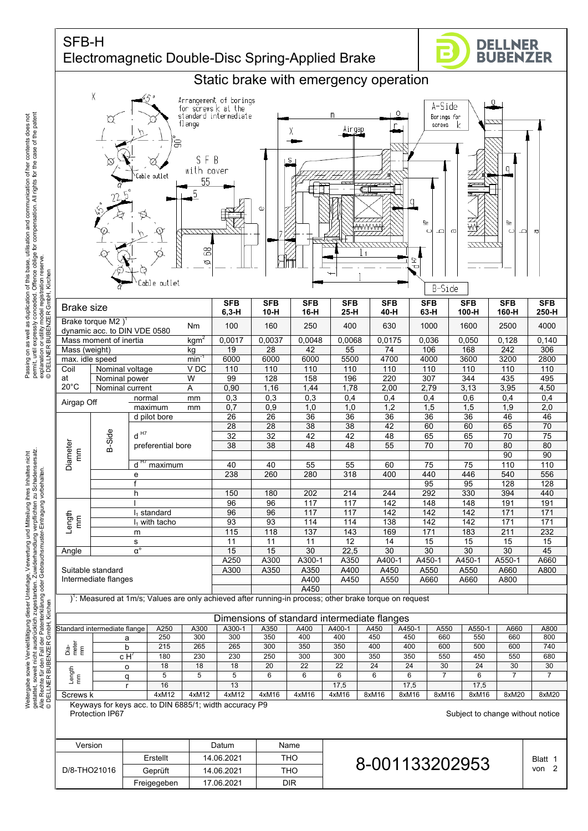## SFB-H Electromagnetic Double-Disc Spring-Applied Brake

Freigegeben | 17.06.2021 | DIR





permit, until expressly conceded. Offence oblige for compensation. All rights for the case of the patent and communication of her contents does not<br>pensation. All rights for the case of the patent Passing on as well as duplication of this base, utilisation and communication of her contents does not Passing on as well as duplication of this base, utilisation and communi<br>permit, until expressly conceded. Offence oblige for compensation. All<br>experiment or bublic vizing comparing meserve.<br>experiment or bublic vizing comp explanation or utility model registration reserve.

gestattet, soweit nicht ausdrücklich zugestanden. Zuwiderhandlung verpflichten zu Schadensersatz. Weitergabe sowie Vervielfältigung dieser Unterlage. Verwertung und Mitteilung ihres Inhaltes nicht<br>gestattet, soweit nicht ausdrücklich zugestanden. Zuwiderhandlung verpflichten zu Schadensersatz.<br>© IDELLNER BUBENZER Grnb Weitergabe sowie Vervielfältigung dieser Unterlage, Verwertung und Mitteilung ihres Inhaltes nicht Alle Rechte für den Fall der Patenterklärung oder Gebrauchsmuster-Eintragung vorbehalten.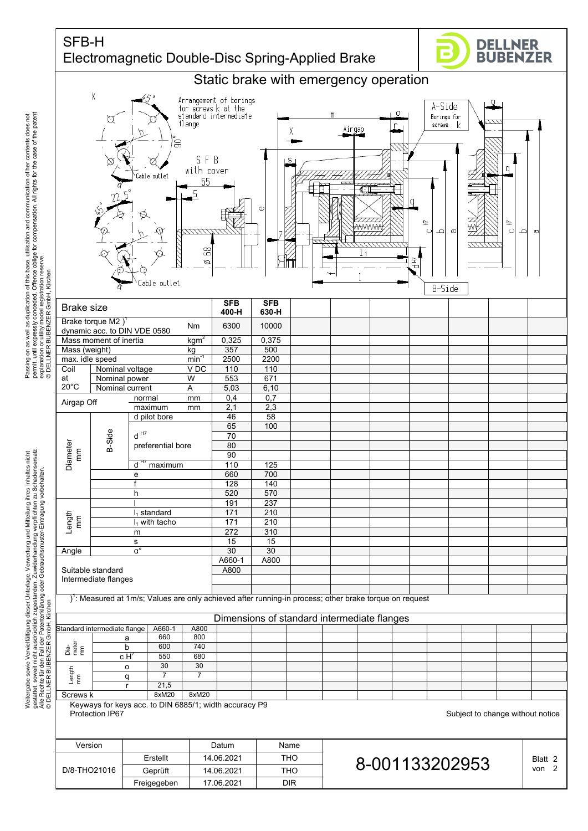## SFB-H Electromagnetic Double-Disc Spring-Applied Brake

Geprüft | 14.06.2021 | THO Freigegeben 17.06.2021 DIR





Passing on as well as duplication of this base, utilisation and communication of her contents does not<br>permit, unil expressly conceded. Offence oblige for compensation. All rights for the case of the patent<br>© SpienLNER B permit, until expressly conceded. Offence oblige for compensation. All rights for the case of the patent Passing on as well as duplication of this base, utilisation and communication of her contents does not explanation or utility model registration reserve.

gestattet, soweit nicht ausdrücklich zugestanden. Zuwiderhandlung verpflichten zu Schadensersatz. Weitergabe sowie Vervielfältigung dieser Unterlage. Verwertung und Mitteilung ihres Inhaltes nicht<br>gestattet, soweit nicht ausdrücklich zugestanden. Zuwiderhandlung verpflichten zu Schadensersatz.<br>© IDELLNER BUBENZER Grnb Weitergabe sowie Vervielfältigung dieser Unterlage, Verwertung und Mitteilung ihres Inhaltes nicht Alle Rechte für den Fall der Patenterklärung oder Gebrauchsmuster-Eintragung vorbehalten.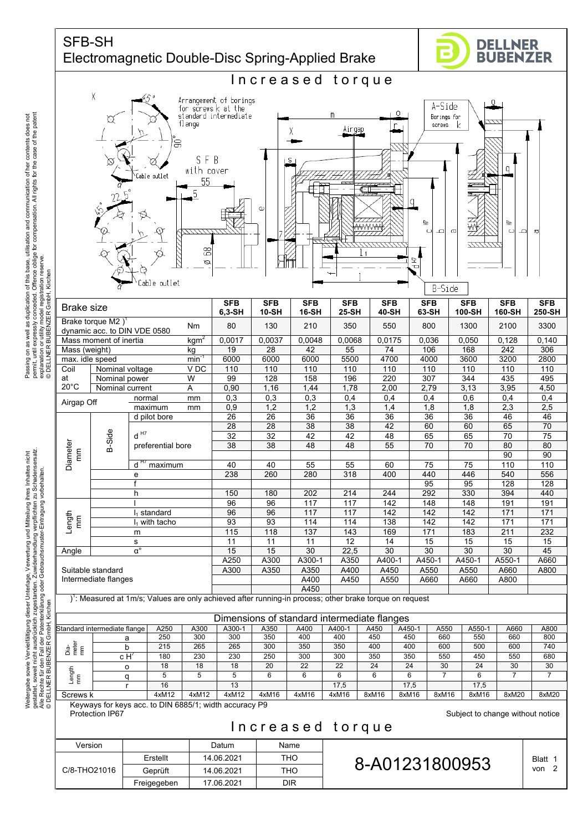





Weitergabe sowie Vervielfältigung dieser Unterlage, Verwertung und Mitteilung ihres Inhaltes nicht gestattet, soweit nicht ausdrücklich zugestanden. Zuwiderhandlung verpflichten zu Schadensersatz.

Passing on as well as duplication of this base, utilisation and communication of her contents does not permit, until expressly conceded. Offence oblige for compensation. All rights for the case of the patent

and communication of her contents does not<br>pensation. All rights for the case of the patent